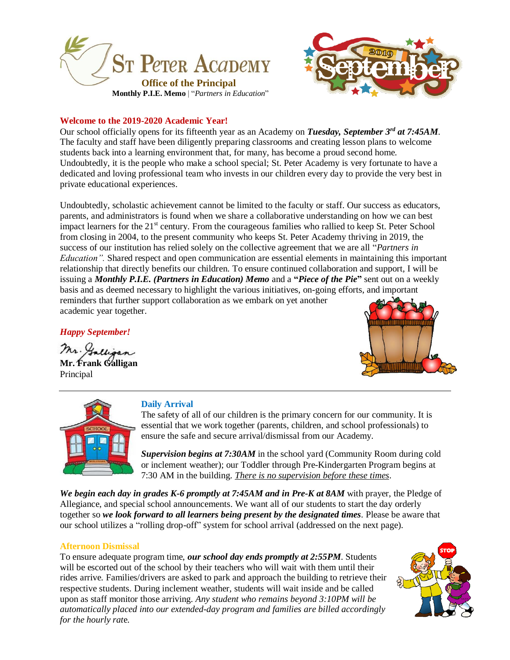



#### **Welcome to the 2019-2020 Academic Year!**

Our school officially opens for its fifteenth year as an Academy on *Tuesday, September 3rd at 7:45AM*. The faculty and staff have been diligently preparing classrooms and creating lesson plans to welcome students back into a learning environment that, for many, has become a proud second home. Undoubtedly, it is the people who make a school special; St. Peter Academy is very fortunate to have a dedicated and loving professional team who invests in our children every day to provide the very best in private educational experiences.

Undoubtedly, scholastic achievement cannot be limited to the faculty or staff. Our success as educators, parents, and administrators is found when we share a collaborative understanding on how we can best impact learners for the 21<sup>st</sup> century. From the courageous families who rallied to keep St. Peter School from closing in 2004, to the present community who keeps St. Peter Academy thriving in 2019, the success of our institution has relied solely on the collective agreement that we are all "*Partners in Education".* Shared respect and open communication are essential elements in maintaining this important relationship that directly benefits our children. To ensure continued collaboration and support, I will be issuing a *Monthly P.I.E. (Partners in Education) Memo* and a **"***Piece of the Pie***"** sent out on a weekly basis and as deemed necessary to highlight the various initiatives, on-going efforts, and important reminders that further support collaboration as we embark on yet another academic year together.

*Happy September!*

Mr. Gallioan **Mr. Frank Galligan** Principal





#### **Daily Arrival**

The safety of all of our children is the primary concern for our community. It is essential that we work together (parents, children, and school professionals) to ensure the safe and secure arrival/dismissal from our Academy.

*Supervision begins at 7:30AM* in the school yard (Community Room during cold or inclement weather); our Toddler through Pre-Kindergarten Program begins at 7:30 AM in the building. *There is no supervision before these times*.

*We begin each day in grades K-6 promptly at 7:45AM and in Pre-K at 8AM* with prayer, the Pledge of Allegiance, and special school announcements. We want all of our students to start the day orderly together so *we look forward to all learners being present by the designated times*. Please be aware that our school utilizes a "rolling drop-off" system for school arrival (addressed on the next page).

#### **Afternoon Dismissal**

To ensure adequate program time, *our school day ends promptly at 2:55PM*. Students will be escorted out of the school by their teachers who will wait with them until their rides arrive. Families/drivers are asked to park and approach the building to retrieve their respective students. During inclement weather, students will wait inside and be called upon as staff monitor those arriving. *Any student who remains beyond 3:10PM will be automatically placed into our extended-day program and families are billed accordingly for the hourly rat*e.

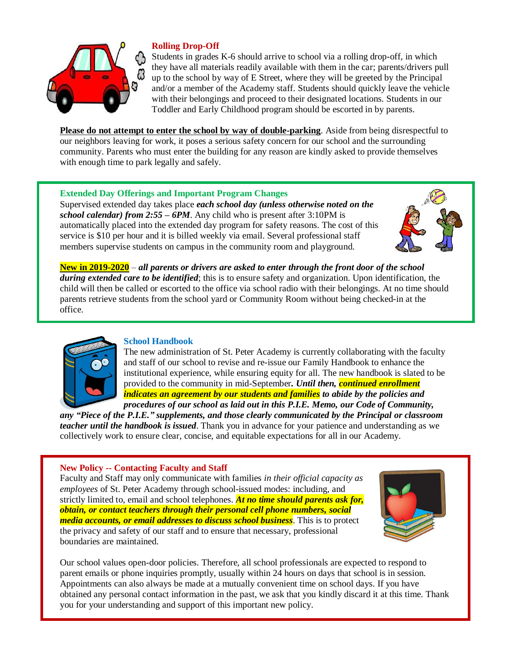

## **Rolling Drop-Off**

Students in grades K-6 should arrive to school via a rolling drop-off, in which they have all materials readily available with them in the car; parents/drivers pull up to the school by way of E Street, where they will be greeted by the Principal and/or a member of the Academy staff. Students should quickly leave the vehicle with their belongings and proceed to their designated locations. Students in our Toddler and Early Childhood program should be escorted in by parents.

**Please do not attempt to enter the school by way of double-parking**. Aside from being disrespectful to our neighbors leaving for work, it poses a serious safety concern for our school and the surrounding community. Parents who must enter the building for any reason are kindly asked to provide themselves with enough time to park legally and safely.

### **Extended Day Offerings and Important Program Changes**

Supervised extended day takes place *each school day (unless otherwise noted on the school calendar) from 2:55 – 6PM*. Any child who is present after 3:10PM is automatically placed into the extended day program for safety reasons. The cost of this service is \$10 per hour and it is billed weekly via email. Several professional staff members supervise students on campus in the community room and playground.



**New in 2019-2020** – *all parents or drivers are asked to enter through the front door of the school during extended care to be identified*; this is to ensure safety and organization. Upon identification, the child will then be called or escorted to the office via school radio with their belongings. At no time should parents retrieve students from the school yard or Community Room without being checked-in at the office.



#### **School Handbook**

The new administration of St. Peter Academy is currently collaborating with the faculty and staff of our school to revise and re-issue our Family Handbook to enhance the institutional experience, while ensuring equity for all. The new handbook is slated to be provided to the community in mid-September*. Until then, continued enrollment indicates an agreement by our students and families to abide by the policies and procedures of our school as laid out in this P.I.E. Memo, our Code of Community,*

*any "Piece of the P.I.E." supplements, and those clearly communicated by the Principal or classroom teacher until the handbook is issued*. Thank you in advance for your patience and understanding as we collectively work to ensure clear, concise, and equitable expectations for all in our Academy.

#### **New Policy -- Contacting Faculty and Staff**

Faculty and Staff may only communicate with families *in their official capacity as employees* of St. Peter Academy through school-issued modes: including, and strictly limited to, email and school telephones. *At no time should parents ask for, obtain, or contact teachers through their personal cell phone numbers, social media accounts, or email addresses to discuss school business*. This is to protect the privacy and safety of our staff and to ensure that necessary, professional boundaries are maintained.



Our school values open-door policies. Therefore, all school professionals are expected to respond to parent emails or phone inquiries promptly, usually within 24 hours on days that school is in session. Appointments can also always be made at a mutually convenient time on school days. If you have obtained any personal contact information in the past, we ask that you kindly discard it at this time. Thank you for your understanding and support of this important new policy.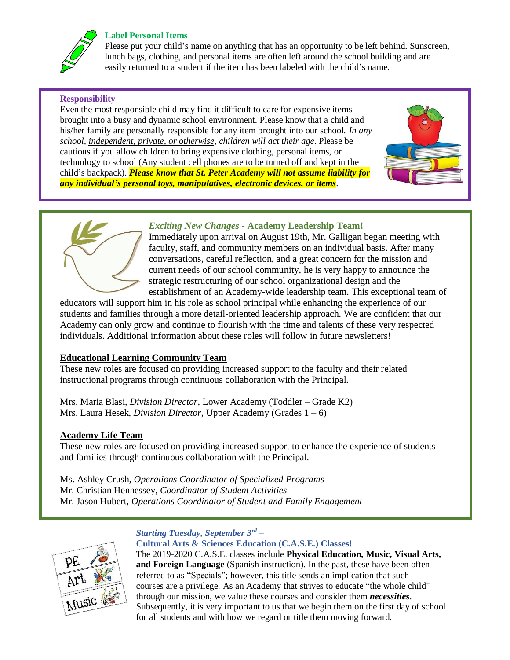# **Label Personal Items**



Please put your child's name on anything that has an opportunity to be left behind. Sunscreen, lunch bags, clothing, and personal items are often left around the school building and are easily returned to a student if the item has been labeled with the child's name.

## **Responsibility**

Even the most responsible child may find it difficult to care for expensive items brought into a busy and dynamic school environment. Please know that a child and his/her family are personally responsible for any item brought into our school. *In any school, independent, private, or otherwise, children will act their age*. Please be cautious if you allow children to bring expensive clothing, personal items, or technology to school (Any student cell phones are to be turned off and kept in the child's backpack). *Please know that St. Peter Academy will not assume liability for any individual's personal toys, manipulatives, electronic devices, or items*.





## *Exciting New Changes -* **Academy Leadership Team!**

Immediately upon arrival on August 19th, Mr. Galligan began meeting with faculty, staff, and community members on an individual basis. After many conversations, careful reflection, and a great concern for the mission and current needs of our school community, he is very happy to announce the strategic restructuring of our school organizational design and the establishment of an Academy-wide leadership team. This exceptional team of

educators will support him in his role as school principal while enhancing the experience of our students and families through a more detail-oriented leadership approach. We are confident that our Academy can only grow and continue to flourish with the time and talents of these very respected individuals. Additional information about these roles will follow in future newsletters!

## **Educational Learning Community Team**

These new roles are focused on providing increased support to the faculty and their related instructional programs through continuous collaboration with the Principal.

Mrs. Maria Blasi, *Division Director*, Lower Academy (Toddler – Grade K2) Mrs. Laura Hesek, *Division Director*, Upper Academy (Grades 1 – 6)

## **Academy Life Team**

These new roles are focused on providing increased support to enhance the experience of students and families through continuous collaboration with the Principal.

Ms. Ashley Crush, *Operations Coordinator of Specialized Programs* Mr. Christian Hennessey, *Coordinator of Student Activities* Mr. Jason Hubert, *Operations Coordinator of Student and Family Engagement*



#### *Starting Tuesday, September 3rd* **– Cultural Arts & Sciences Education (C.A.S.E.) Classes!**

The 2019-2020 C.A.S.E. classes include **Physical Education, Music, Visual Arts, and Foreign Language** (Spanish instruction). In the past, these have been often referred to as "Specials"; however, this title sends an implication that such courses are a privilege. As an Academy that strives to educate "the whole child" through our mission, we value these courses and consider them *necessities*. Subsequently, it is very important to us that we begin them on the first day of school for all students and with how we regard or title them moving forward.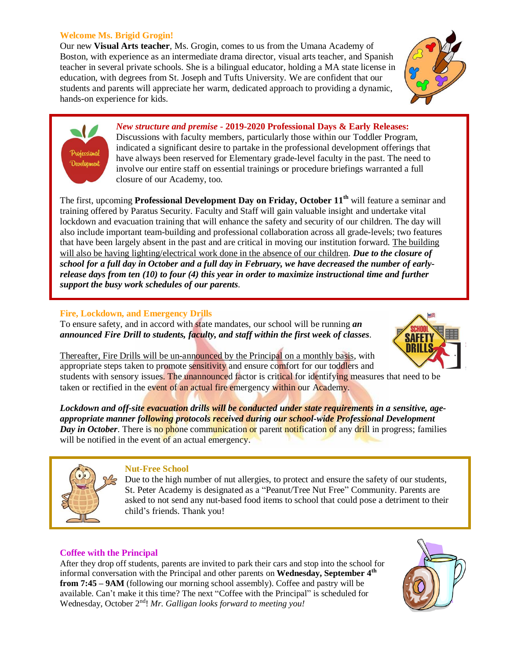#### **Welcome Ms. Brigid Grogin!**

Our new **Visual Arts teacher**, Ms. Grogin, comes to us from the Umana Academy of Boston, with experience as an intermediate drama director, visual arts teacher, and Spanish teacher in several private schools. She is a bilingual educator, holding a MA state license in education, with degrees from St. Joseph and Tufts University. We are confident that our students and parents will appreciate her warm, dedicated approach to providing a dynamic, hands-on experience for kids.





*New structure and premise* **- 2019-2020 Professional Days & Early Releases:** Discussions with faculty members, particularly those within our Toddler Program, indicated a significant desire to partake in the professional development offerings that have always been reserved for Elementary grade-level faculty in the past. The need to involve our entire staff on essential trainings or procedure briefings warranted a full closure of our Academy, too.

The first, upcoming **Professional Development Day on Friday, October 11th** will feature a seminar and training offered by Paratus Security. Faculty and Staff will gain valuable insight and undertake vital lockdown and evacuation training that will enhance the safety and security of our children. The day will also include important team-building and professional collaboration across all grade-levels; two features that have been largely absent in the past and are critical in moving our institution forward. The building will also be having lighting/electrical work done in the absence of our children. *Due to the closure of school for a full day in October and a full day in February, we have decreased the number of earlyrelease days from ten (10) to four (4) this year in order to maximize instructional time and further support the busy work schedules of our parents*.

#### **Fire, Lockdown, and Emergency Drills**

To ensure safety, and in accord with state mandates, our school will be running *an announced Fire Drill to students, faculty, and staff within the first week of classes*.



Thereafter, Fire Drills will be un-announced by the Principal on a monthly basis, with appropriate steps taken to promote sensitivity and ensure comfort for our toddlers and students with sensory issues. The unannounced factor is critical for identifying measures that need to be taken or rectified in the event of an actual fire emergency within our Academy.

*Lockdown and off-site evacuation drills will be conducted under state requirements in a sensitive, ageappropriate manner following protocols received during our school-wide Professional Development Day in October*. There is no phone communication or parent notification of any drill in progress; families will be notified in the event of an actual emergency.



#### **Nut-Free School**

Due to the high number of nut allergies, to protect and ensure the safety of our students, St. Peter Academy is designated as a "Peanut/Tree Nut Free" Community. Parents are asked to not send any nut-based food items to school that could pose a detriment to their child's friends. Thank you!

### **Coffee with the Principal**

After they drop off students, parents are invited to park their cars and stop into the school for informal conversation with the Principal and other parents on **Wednesday, September 4th from 7:45 – 9AM** (following our morning school assembly). Coffee and pastry will be available. Can't make it this time? The next "Coffee with the Principal" is scheduled for Wednesday, October 2nd! *Mr. Galligan looks forward to meeting you!*